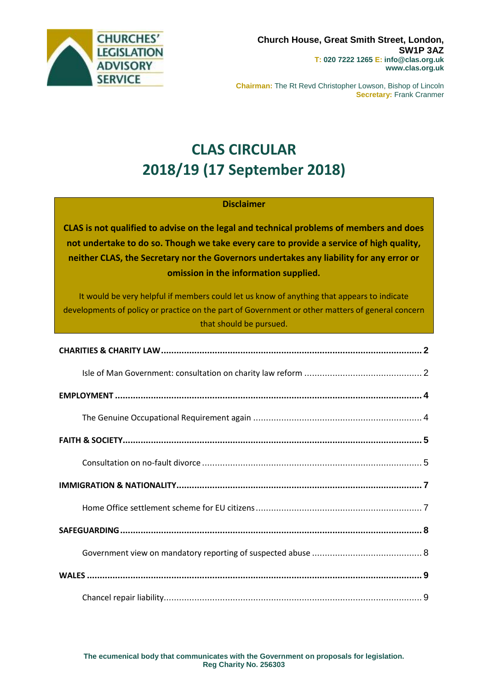

**Chairman:** The Rt Revd Christopher Lowson, Bishop of Lincoln **Secretary:** Frank Cranmer

# **CLAS CIRCULAR 2018/19 (17 September 2018)**

### **Disclaimer**

**CLAS is not qualified to advise on the legal and technical problems of members and does not undertake to do so. Though we take every care to provide a service of high quality, neither CLAS, the Secretary nor the Governors undertakes any liability for any error or omission in the information supplied.**

It would be very helpful if members could let us know of anything that appears to indicate developments of policy or practice on the part of Government or other matters of general concern that should be pursued.

**The ecumenical body that communicates with the Government on proposals for legislation. Reg Charity No. 256303**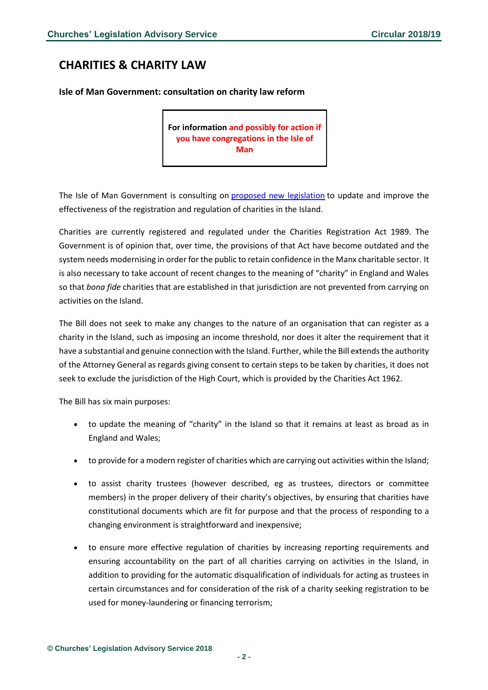# <span id="page-1-0"></span>**CHARITIES & CHARITY LAW**

<span id="page-1-1"></span>**Isle of Man Government: consultation on charity law reform**

**For information and possibly for action if you have congregations in the Isle of Man**

The Isle of Man Government is consulting on proposed new [legislation](https://consult.gov.im/attorney-generals-chambers/charities-registration-and-regulation-bill/consultation/download) to update and improve the effectiveness of the registration and regulation of charities in the Island.

Charities are currently registered and regulated under the Charities Registration Act 1989. The Government is of opinion that, over time, the provisions of that Act have become outdated and the system needs modernising in order for the public to retain confidence in the Manx charitable sector. It is also necessary to take account of recent changes to the meaning of "charity" in England and Wales so that *bona fide* charities that are established in that jurisdiction are not prevented from carrying on activities on the Island.

The Bill does not seek to make any changes to the nature of an organisation that can register as a charity in the Island, such as imposing an income threshold, nor does it alter the requirement that it have a substantial and genuine connection with the Island. Further, while the Bill extends the authority of the Attorney General as regards giving consent to certain steps to be taken by charities, it does not seek to exclude the jurisdiction of the High Court, which is provided by the Charities Act 1962.

The Bill has six main purposes:

- to update the meaning of "charity" in the Island so that it remains at least as broad as in England and Wales;
- to provide for a modern register of charities which are carrying out activities within the Island;
- to assist charity trustees (however described, eg as trustees, directors or committee members) in the proper delivery of their charity's objectives, by ensuring that charities have constitutional documents which are fit for purpose and that the process of responding to a changing environment is straightforward and inexpensive;
- to ensure more effective regulation of charities by increasing reporting requirements and ensuring accountability on the part of all charities carrying on activities in the Island, in addition to providing for the automatic disqualification of individuals for acting as trustees in certain circumstances and for consideration of the risk of a charity seeking registration to be used for money-laundering or financing terrorism;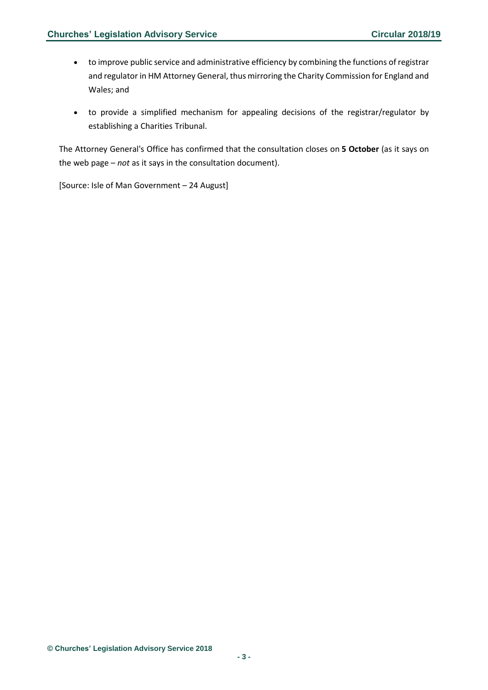- to improve public service and administrative efficiency by combining the functions of registrar and regulator in HM Attorney General, thus mirroring the Charity Commission for England and Wales; and
- to provide a simplified mechanism for appealing decisions of the registrar/regulator by establishing a Charities Tribunal.

The Attorney General's Office has confirmed that the consultation closes on **5 October** (as it says on the web page – *not* as it says in the consultation document).

[Source: Isle of Man Government – 24 August]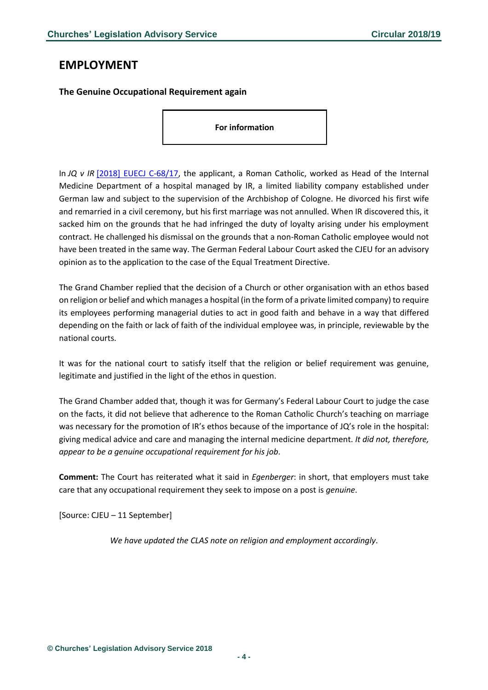### <span id="page-3-0"></span>**EMPLOYMENT**

<span id="page-3-1"></span>**The Genuine Occupational Requirement again**

**For information**

In *JQ v IR* [\[2018\] EUECJ C-68/17,](http://curia.europa.eu/juris/document/document.jsf;jsessionid=9ea7d2dc30d8ca09b839fe844158bfbab6f24e5b2ea8.e34KaxiLc3qMb40Rch0SaxyPaxb0?text=&docid=205521&pageIndex=0&doclang=EN&mode=req&dir=&occ=first&part=1&cid=404493) the applicant, a Roman Catholic, worked as Head of the Internal Medicine Department of a hospital managed by IR, a limited liability company established under German law and subject to the supervision of the Archbishop of Cologne. He divorced his first wife and remarried in a civil ceremony, but his first marriage was not annulled. When IR discovered this, it sacked him on the grounds that he had infringed the duty of loyalty arising under his employment contract. He challenged his dismissal on the grounds that a non-Roman Catholic employee would not have been treated in the same way. The German Federal Labour Court asked the CJEU for an advisory opinion as to the application to the case of the Equal Treatment Directive.

The Grand Chamber replied that the decision of a Church or other organisation with an ethos based on religion or belief and which manages a hospital (in the form of a private limited company) to require its employees performing managerial duties to act in good faith and behave in a way that differed depending on the faith or lack of faith of the individual employee was, in principle, reviewable by the national courts.

It was for the national court to satisfy itself that the religion or belief requirement was genuine, legitimate and justified in the light of the ethos in question.

The Grand Chamber added that, though it was for Germany's Federal Labour Court to judge the case on the facts, it did not believe that adherence to the Roman Catholic Church's teaching on marriage was necessary for the promotion of IR's ethos because of the importance of JQ's role in the hospital: giving medical advice and care and managing the internal medicine department. *It did not, therefore, appear to be a genuine occupational requirement for his job*.

**Comment:** The Court has reiterated what it said in *Egenberger*: in short, that employers must take care that any occupational requirement they seek to impose on a post is *genuine*.

[Source: CJEU – 11 September]

*We have updated the CLAS note on religion and employment accordingly*.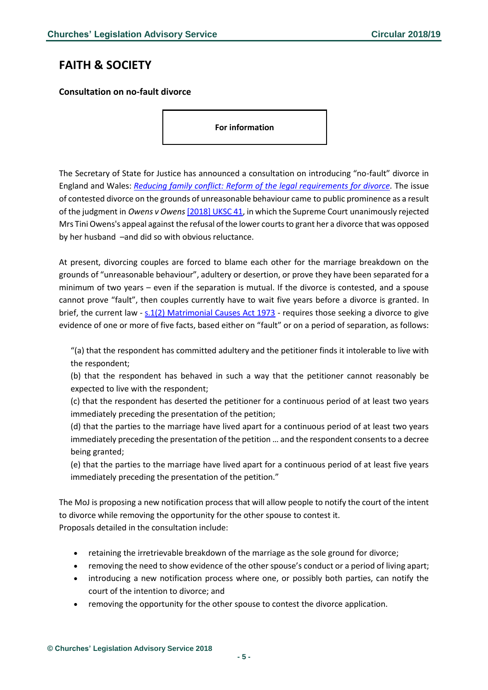# <span id="page-4-0"></span>**FAITH & SOCIETY**

<span id="page-4-1"></span>**Consultation on no-fault divorce**

**For information**

The Secretary of State for Justice has announced a consultation on introducing "no-fault" divorce in England and Wales: *[Reducing family conflict: Reform of the legal requirements for divorce.](https://consult.justice.gov.uk/digital-communications/reform-of-the-legal-requirements-for-divorce/supporting_documents/reducingfamilyconflictconsultation.pdf)* The issue of contested divorce on the grounds of unreasonable behaviour came to public prominence as a result of the judgment in *Owens v Owens*[\[2018\] UKSC 41,](https://www.supremecourt.uk/cases/docs/uksc-2017-0077-judgment.pdf) in which the Supreme Court unanimously rejected Mrs Tini Owens's appeal against the refusal of the lower courts to grant her a divorce that was opposed by her husband –and did so with obvious reluctance.

At present, divorcing couples are forced to blame each other for the marriage breakdown on the grounds of "unreasonable behaviour", adultery or desertion, or prove they have been separated for a minimum of two years – even if the separation is mutual. If the divorce is contested, and a spouse cannot prove "fault", then couples currently have to wait five years before a divorce is granted. In brief, the current law - [s.1\(2\) Matrimonial Causes Act 1973](http://www.legislation.gov.uk/ukpga/1973/18/section/1) - requires those seeking a divorce to give evidence of one or more of five facts, based either on "fault" or on a period of separation, as follows:

"(a) that the respondent has committed adultery and the petitioner finds it intolerable to live with the respondent;

(b) that the respondent has behaved in such a way that the petitioner cannot reasonably be expected to live with the respondent;

(c) that the respondent has deserted the petitioner for a continuous period of at least two years immediately preceding the presentation of the petition;

(d) that the parties to the marriage have lived apart for a continuous period of at least two years immediately preceding the presentation of the petition … and the respondent consents to a decree being granted;

(e) that the parties to the marriage have lived apart for a continuous period of at least five years immediately preceding the presentation of the petition."

The MoJ is proposing a new notification process that will allow people to notify the court of the intent to divorce while removing the opportunity for the other spouse to contest it. Proposals detailed in the consultation include:

- retaining the irretrievable breakdown of the marriage as the sole ground for divorce;
- removing the need to show evidence of the other spouse's conduct or a period of living apart;
- introducing a new notification process where one, or possibly both parties, can notify the court of the intention to divorce; and
- removing the opportunity for the other spouse to contest the divorce application.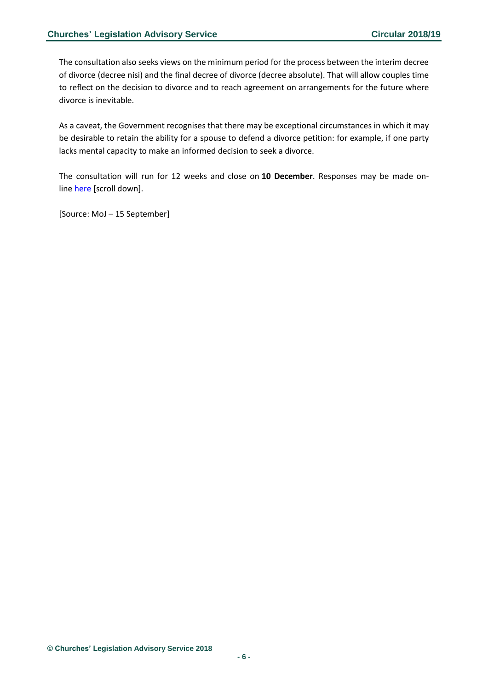The consultation also seeks views on the minimum period for the process between the interim decree of divorce (decree nisi) and the final decree of divorce (decree absolute). That will allow couples time to reflect on the decision to divorce and to reach agreement on arrangements for the future where divorce is inevitable.

As a caveat, the Government recognises that there may be exceptional circumstances in which it may be desirable to retain the ability for a spouse to defend a divorce petition: for example, if one party lacks mental capacity to make an informed decision to seek a divorce.

The consultation will run for 12 weeks and close on **10 December**. Responses may be made online [here](https://consult.justice.gov.uk/digital-communications/reform-of-the-legal-requirements-for-divorce/) [scroll down].

[Source: MoJ – 15 September]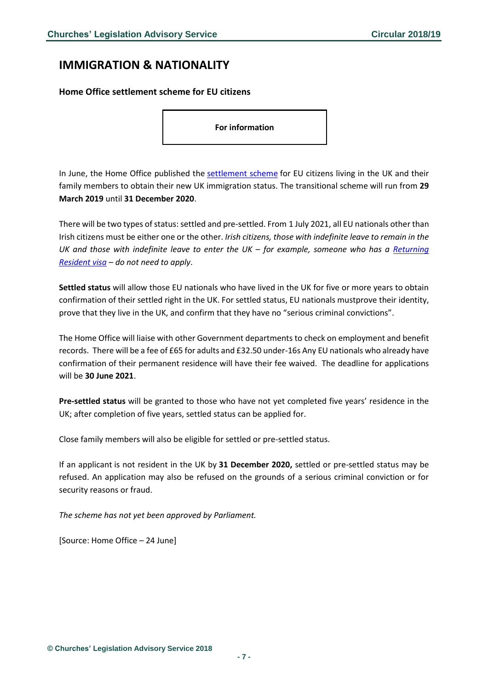### <span id="page-6-0"></span>**IMMIGRATION & NATIONALITY**

#### <span id="page-6-1"></span>**Home Office settlement scheme for EU citizens**

**For information**

In June, the Home Office published the [settlement scheme](https://www.gov.uk/settled-status-eu-citizens-families) for EU citizens living in the UK and their family members to obtain their new UK immigration status. The transitional scheme will run from **29 March 2019** until **31 December 2020**.

There will be two types of status: settled and pre-settled. From 1 July 2021, all EU nationals other than Irish citizens must be either one or the other. *Irish citizens, those with indefinite leave to remain in the UK and those with indefinite leave to enter the UK – for example, someone who has a Returning [Resident visa](https://www.gov.uk/returning-resident-visa) – do not need to apply*.

**Settled status** will allow those EU nationals who have lived in the UK for five or more years to obtain confirmation of their settled right in the UK. For settled status, EU nationals mustprove their identity, prove that they live in the UK, and confirm that they have no "serious criminal convictions".

The Home Office will liaise with other Government departments to check on employment and benefit records. There will be a fee of £65 for adults and £32.50 under-16s Any EU nationals who already have confirmation of their permanent residence will have their fee waived. The deadline for applications will be **30 June 2021**.

**Pre-settled status** will be granted to those who have not yet completed five years' residence in the UK; after completion of five years, settled status can be applied for.

Close family members will also be eligible for settled or pre-settled status.

If an applicant is not resident in the UK by **31 December 2020,** settled or pre-settled status may be refused. An application may also be refused on the grounds of a serious criminal conviction or for security reasons or fraud.

*The scheme has not yet been approved by Parliament.*

[Source: Home Office – 24 June]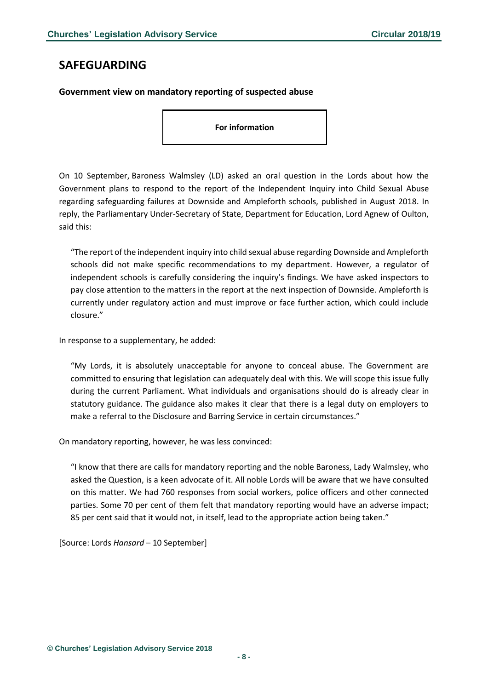### <span id="page-7-0"></span>**SAFEGUARDING**

#### <span id="page-7-1"></span>**Government view on mandatory reporting of suspected abuse**

**For information**

On 10 September, Baroness Walmsley (LD) asked an oral question in the Lords about how the Government plans to respond to the report of the Independent Inquiry into Child Sexual Abuse regarding safeguarding failures at Downside and Ampleforth schools, published in August 2018. In reply, the Parliamentary Under-Secretary of State, Department for Education, Lord Agnew of Oulton, said this:

"The report of the independent inquiry into child sexual abuse regarding Downside and Ampleforth schools did not make specific recommendations to my department. However, a regulator of independent schools is carefully considering the inquiry's findings. We have asked inspectors to pay close attention to the matters in the report at the next inspection of Downside. Ampleforth is currently under regulatory action and must improve or face further action, which could include closure."

In response to a supplementary, he added:

"My Lords, it is absolutely unacceptable for anyone to conceal abuse. The Government are committed to ensuring that legislation can adequately deal with this. We will scope this issue fully during the current Parliament. What individuals and organisations should do is already clear in statutory guidance. The guidance also makes it clear that there is a legal duty on employers to make a referral to the Disclosure and Barring Service in certain circumstances."

On mandatory reporting, however, he was less convinced:

"I know that there are calls for mandatory reporting and the noble Baroness, Lady Walmsley, who asked the Question, is a keen advocate of it. All noble Lords will be aware that we have consulted on this matter. We had 760 responses from social workers, police officers and other connected parties. Some 70 per cent of them felt that mandatory reporting would have an adverse impact; 85 per cent said that it would not, in itself, lead to the appropriate action being taken."

[Source: Lords *Hansard* – 10 September]